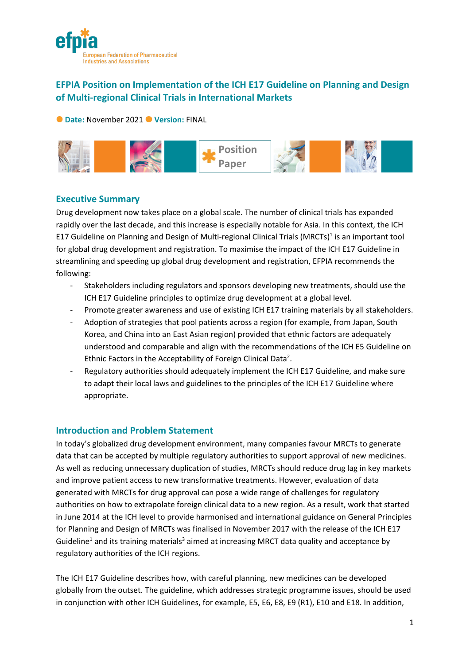

# **EFPIA Position on Implementation of the ICH E17 Guideline on Planning and Design of Multi-regional Clinical Trials in International Markets**

**O** Date: November 2021 **O** Version: FINAL



# **Executive Summary**

Drug development now takes place on a global scale. The number of clinical trials has expanded rapidly over the last decade, and this increase is especially notable for Asia. In this context, the ICH E17 Guideline on Planning and Design of Multi-regional Clinical Trials (MRCTs)<sup>1</sup> is an important tool for global drug development and registration. To maximise the impact of the ICH E17 Guideline in streamlining and speeding up global drug development and registration, EFPIA recommends the following:

- Stakeholders including regulators and sponsors developing new treatments, should use the ICH E17 Guideline principles to optimize drug development at a global level.
- Promote greater awareness and use of existing ICH E17 training materials by all stakeholders.
- Adoption of strategies that pool patients across a region (for example, from Japan, South Korea, and China into an East Asian region) provided that ethnic factors are adequately understood and comparable and align with the recommendations of the ICH E5 Guideline on Ethnic Factors in the Acceptability of Foreign Clinical Data<sup>2</sup>.
- Regulatory authorities should adequately implement the ICH E17 Guideline, and make sure to adapt their local laws and guidelines to the principles of the ICH E17 Guideline where appropriate.

## **Introduction and Problem Statement**

In today's globalized drug development environment, many companies favour MRCTs to generate data that can be accepted by multiple regulatory authorities to support approval of new medicines. As well as reducing unnecessary duplication of studies, MRCTs should reduce drug lag in key markets and improve patient access to new transformative treatments. However, evaluation of data generated with MRCTs for drug approval can pose a wide range of challenges for regulatory authorities on how to extrapolate foreign clinical data to a new region. As a result, work that started in June 2014 at the ICH level to provide harmonised and international guidance on General Principles for Planning and Design of MRCTs was finalised in November 2017 with the release of the ICH E17 Guideline<sup>1</sup> and its training materials<sup>3</sup> aimed at increasing MRCT data quality and acceptance by regulatory authorities of the ICH regions.

The ICH E17 Guideline describes how, with careful planning, new medicines can be developed globally from the outset. The guideline, which addresses strategic programme issues, should be used in conjunction with other ICH Guidelines, for example, E5, E6, E8, E9 (R1), E10 and E18. In addition,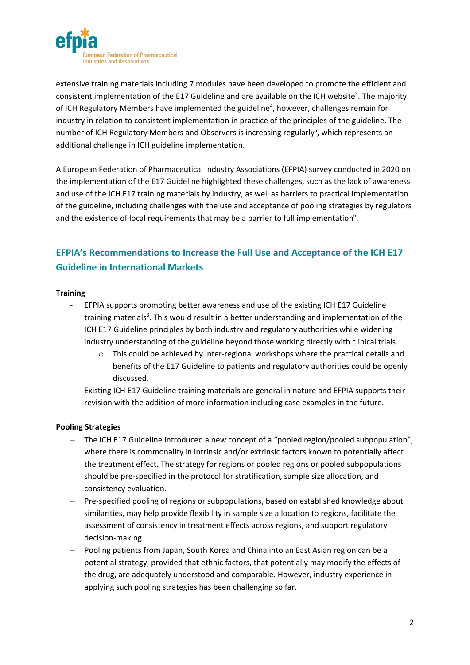

extensive training materials including 7 modules have been developed to promote the efficient and consistent implementation of the E17 Guideline and are available on the ICH website<sup>3</sup>. The majority of ICH Regulatory Members have implemented the guideline<sup>4</sup>, however, challenges remain for industry in relation to consistent implementation in practice of the principles of the guideline. The number of ICH Regulatory Members and Observers is increasing regularly<sup>5</sup>, which represents an additional challenge in ICH guideline implementation.

A European Federation of Pharmaceutical Industry Associations (EFPIA) survey conducted in 2020 on the implementation of the E17 Guideline highlighted these challenges, such as the lack of awareness and use of the ICH E17 training materials by industry, as well as barriers to practical implementation of the guideline, including challenges with the use and acceptance of pooling strategies by regulators and the existence of local requirements that may be a barrier to full implementation<sup>6</sup>.

# **EFPIA's Recommendations to Increase the Full Use and Acceptance of the ICH E17 Guideline in International Markets**

### **Training**

- EFPIA supports promoting better awareness and use of the existing ICH E17 Guideline training materials<sup>3</sup>. This would result in a better understanding and implementation of the ICH E17 Guideline principles by both industry and regulatory authorities while widening industry understanding of the guideline beyond those working directly with clinical trials.
	- $\circ$  This could be achieved by inter-regional workshops where the practical details and benefits of the E17 Guideline to patients and regulatory authorities could be openly discussed.
- Existing ICH E17 Guideline training materials are general in nature and EFPIA supports their revision with the addition of more information including case examples in the future.

## **Pooling Strategies**

- − The ICH E17 Guideline introduced a new concept of a "pooled region/pooled subpopulation", where there is commonality in intrinsic and/or extrinsic factors known to potentially affect the treatment effect. The strategy for regions or pooled regions or pooled subpopulations should be pre-specified in the protocol for stratification, sample size allocation, and consistency evaluation.
- − Pre-specified pooling of regions or subpopulations, based on established knowledge about similarities, may help provide flexibility in sample size allocation to regions, facilitate the assessment of consistency in treatment effects across regions, and support regulatory decision-making.
- − Pooling patients from Japan, South Korea and China into an East Asian region can be a potential strategy, provided that ethnic factors, that potentially may modify the effects of the drug, are adequately understood and comparable. However, industry experience in applying such pooling strategies has been challenging so far.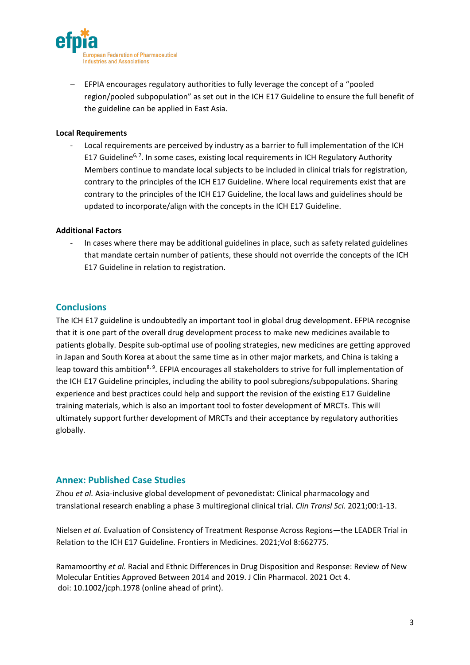

− EFPIA encourages regulatory authorities to fully leverage the concept of a "pooled region/pooled subpopulation" as set out in the ICH E17 Guideline to ensure the full benefit of the guideline can be applied in East Asia.

#### **Local Requirements**

- Local requirements are perceived by industry as a barrier to full implementation of the ICH E17 Guideline<sup>6, 7</sup>. In some cases, existing local requirements in ICH Regulatory Authority Members continue to mandate local subjects to be included in clinical trials for registration, contrary to the principles of the ICH E17 Guideline. Where local requirements exist that are contrary to the principles of the ICH E17 Guideline, the local laws and guidelines should be updated to incorporate/align with the concepts in the ICH E17 Guideline.

#### **Additional Factors**

In cases where there may be additional guidelines in place, such as safety related guidelines that mandate certain number of patients, these should not override the concepts of the ICH E17 Guideline in relation to registration.

## **Conclusions**

The ICH E17 guideline is undoubtedly an important tool in global drug development. EFPIA recognise that it is one part of the overall drug development process to make new medicines available to patients globally. Despite sub-optimal use of pooling strategies, new medicines are getting approved in Japan and South Korea at about the same time as in other major markets, and China is taking a leap toward this ambition<sup>8, 9</sup>. EFPIA encourages all stakeholders to strive for full implementation of the ICH E17 Guideline principles, including the ability to pool subregions/subpopulations. Sharing experience and best practices could help and support the revision of the existing E17 Guideline training materials, which is also an important tool to foster development of MRCTs. This will ultimately support further development of MRCTs and their acceptance by regulatory authorities globally.

## **Annex: Published Case Studies**

Zhou *et al.* Asia-inclusive global development of pevonedistat: Clinical pharmacology and translational research enabling a phase 3 multiregional clinical trial. *Clin Transl Sci.* 2021;00:1-13.

Nielsen *et al.* Evaluation of Consistency of Treatment Response Across Regions—the LEADER Trial in Relation to the ICH E17 Guideline. Frontiers in Medicines. 2021;Vol 8:662775.

Ramamoorthy *et al.* Racial and Ethnic Differences in Drug Disposition and Response: Review of New Molecular Entities Approved Between 2014 and 2019. J Clin Pharmacol. 2021 Oct 4. doi: 10.1002/jcph.1978 (online ahead of print).